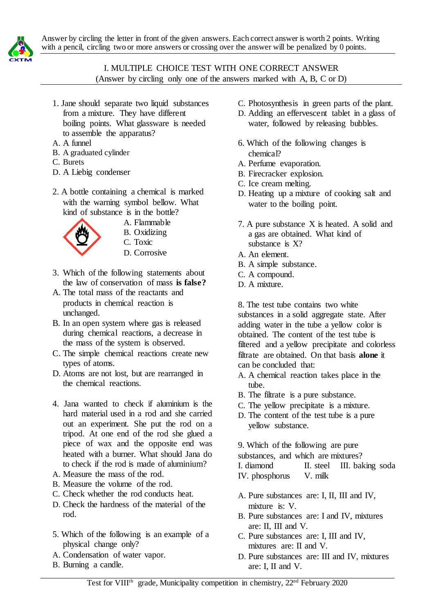



## I. MULTIPLE CHOICE TEST WITH ONE CORRECT ANSWER (Answer by circling only one of the answers marked with A, B, C or D)

- 1. Jane should separate two liquid substances from a mixture. They have different boiling points. What glassware is needed to assemble the apparatus?
- A. A funnel
- B. A graduated cylinder
- C. Burets
- D. A Liebig condenser
- 2. A bottle containing a chemical is marked with the warning symbol bellow. What kind of substance is in the bottle?



- A. Flammable
- B. Oxidizing
- C. Toxic
- D. Corrosive
- 3. Which of the following statements about the law of conservation of mass **is false?**
- A. The total mass of the reactants and products in chemical reaction is unchanged.
- B. In an open system where gas is released during chemical reactions, a decrease in the mass of the system is observed.
- C. The simple chemical reactions create new types of atoms.
- D. Atoms are not lost, but are rearranged in the chemical reactions.
- 4. Jana wanted to check if aluminium is the hard material used in a rod and she carried out an experiment. She put the rod on a tripod. At one end of the rod she glued a piece of wax and the opposite end was heated with a burner. What should Jana do to check if the rod is made of aluminium?
- A. Measure the mass of the rod.
- B. Measure the volume of the rod.
- C. Check whether the rod conducts heat.
- D. Check the hardness of the material of the rod.
- 5. Which of the following is an example of a physical change only?
- A. Condensation of water vapor.
- B. Burning a candle.
- C. Photosynthesis in green parts of the plant.
- D. Adding an effervescent tablet in a glass of water, followed by releasing bubbles.
- 6. Which of the following changes is chemical?
- A. Perfume evaporation.
- B. Firecracker explosion.
- C. Ice cream melting.
- D. Heating up a mixture of cooking salt and water to the boiling point.
- 7. A pure substance X is heated. A solid and a gas are obtained. What kind of substance is X?
- A. An element.
- B. A simple substance.
- C. A compound.
- D. A mixture.
- 8. The test tube contains two white

substances in a solid aggregate state. After adding water in the tube a yellow color is obtained. The content of the test tube is filtered and a yellow precipitate and colorless filtrate are obtained. On that basis **alone** it can be concluded that:

- A. A chemical reaction takes place in the tube.
- B. The filtrate is a pure substance.
- C. The yellow precipitate is a mixture.
- D. The content of the test tube is a pure yellow substance.

9. Which of the following are pure

substances, and which are mixtures?

I. diamond II. steel III. baking soda IV. phosphorus V. milk

- A. Pure substances are: I, II, III and IV, mixture is: V.
- B. Pure substances are: I and IV, mixtures are: II, III and V.
- C. Pure substances are: I, III and IV, mixtures are: II and V.
- D. Pure substances are: III and IV, mixtures are: I, II and V.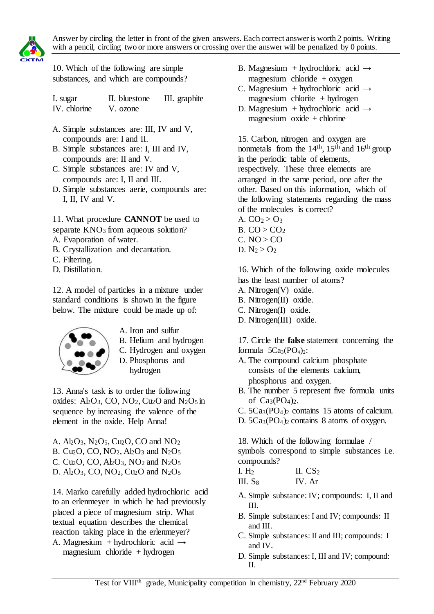

10. Which of the following are simple substances, and which are compounds?

I. sugar II. bluestone III. graphite IV. chlorine V. ozone

- A. Simple substances are: III, IV and V, compounds are: I and II.
- B. Simple substances are: I, III and IV, compounds are: II and V.
- C. Simple substances are: IV and V, compounds are: I, II and III.
- D. Simple substances aerie, compounds are: I, II, IV and V.

11. What procedure **CANNOT** be used to separate  $KNO<sub>3</sub>$  from aqueous solution?

- A. Evaporation of water.
- B. Crystallization and decantation.
- C. Filtering.
- D. Distillation.

12. A model of particles in a mixture under standard conditions is shown in the figure below. The mixture could be made up of:



- A. Iron and sulfur
- B. Helium and hydrogen
- C. Hydrogen and oxygen
- D. Phosphorus and hydrogen

13. Anna's task is to order the following oxides:  $Al_2O_3$ , CO, NO<sub>2</sub>, Cu<sub>2</sub>O and N<sub>2</sub>O<sub>5</sub> in sequence by increasing the valence of the element in the oxide. Help Anna!

A.  $Al_2O_3$ ,  $N_2O_5$ ,  $Cu_2O$ ,  $CO$  and  $NO_2$ B. Cu<sub>2</sub>O, CO, NO<sub>2</sub>, Al<sub>2</sub>O<sub>3</sub> and N<sub>2</sub>O<sub>5</sub> C. Cu<sub>2</sub>O, CO,  $Al_2O_3$ , NO<sub>2</sub> and N<sub>2</sub>O<sub>5</sub> D. Al2O3, CO, NO2, Cu2O and N2O<sup>5</sup>

14. Marko carefully added hydrochloric acid to an erlenmeyer in which he had previously placed a piece of magnesium strip. What textual equation describes the chemical reaction taking place in the erlenmeyer?

A. Magnesium + hydrochloric acid  $\rightarrow$ magnesium chloride + hydrogen

- B. Magnesium + hydrochloric acid  $\rightarrow$ magnesium chloride  $+$  oxygen
- C. Magnesium + hydrochloric acid  $\rightarrow$  $magnesium$  chlorite + hydrogen
- D. Magnesium + hydrochloric acid  $\rightarrow$ magnesium oxide  $+$  chlorine

15. Carbon, nitrogen and oxygen are nonmetals from the  $14<sup>th</sup>$ ,  $15<sup>th</sup>$  and  $16<sup>th</sup>$  group in the periodic table of elements, respectively. These three elements are arranged in the same period, one after the other. Based on this information, which of the following statements regarding the mass of the molecules is correct?

- A.  $CO<sub>2</sub> > O<sub>3</sub>$ B.  $CO > CO<sub>2</sub>$  $C. NO > CO$
- 

D.  $N_2 > O_2$ 

16. Which of the following oxide molecules has the least number of atoms?

- A. Nitrogen(V) oxide.
- B. Nitrogen(II) oxide.
- C. Nitrogen(I) oxide.
- D. Nitrogen(III) oxide.

17. Circle the **false** statement concerning the formula  $5Ca<sub>3</sub>(PO<sub>4</sub>)<sub>2</sub>$ :

- A. The compound calcium phosphate consists of the elements calcium, phosphorus and oxygen.
- B. The number 5 represent five formula units of  $Ca<sub>3</sub>(PO<sub>4</sub>)<sub>2</sub>$ .
- C. 5Ca3(PO4)2 contains 15 atoms of calcium.
- D. 5Ca3(PO4)<sup>2</sup> contains 8 atoms of oxygen.

18. Which of the following formulae / symbols correspond to simple substances i.e. compounds?

- I. H<sub>2</sub> II.  $CS<sub>2</sub>$ III.  $S_8$  IV. Ar
- A. Simple substance: IV; compounds: I, II and III.
- B. Simple substances: I and IV; compounds: II and III.
- C. Simple substances: II and III; compounds: I and IV.
- D. Simple substances: I, III and IV; compound:  $II$ .